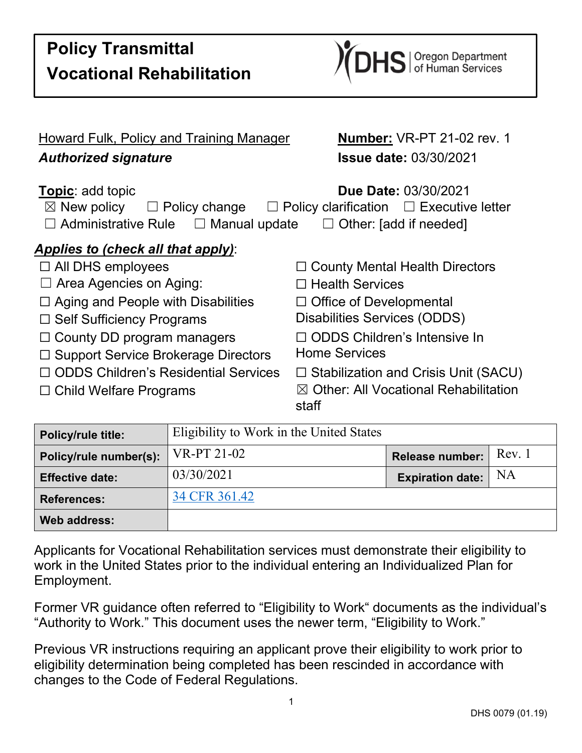| <b>Howard Fulk, Policy and Training Manager</b>                                                                  | <b>Number: VR-PT 21-02 rev. 1</b>                                                                                      |  |
|------------------------------------------------------------------------------------------------------------------|------------------------------------------------------------------------------------------------------------------------|--|
| <b>Authorized signature</b>                                                                                      | <b>Issue date: 03/30/2021</b>                                                                                          |  |
| <b>Topic: add topic</b><br>$\boxtimes$ New policy<br>$\Box$ Policy change<br>Administrative Rule □ Manual update | <b>Due Date: 03/30/2021</b><br>$\Box$ Policy clarification $\Box$ Executive letter<br>Other: [add if needed]<br>$\Box$ |  |
| Applies to (check all that apply):                                                                               |                                                                                                                        |  |
| $\Box$ All DHS employees                                                                                         | $\Box$ County Mental Health Directors                                                                                  |  |
| $\Box$ Area Agencies on Aging:                                                                                   | コ Health Services                                                                                                      |  |
| $\Box$ Aging and People with Disabilities                                                                        | $\Box$ Office of Developmental                                                                                         |  |
| $\Box$ Self Sufficiency Programs                                                                                 | Disabilities Services (ODDS)                                                                                           |  |
| $\Box$ County DD program managers                                                                                | $\Box$ ODDS Children's Intensive In                                                                                    |  |
| □ Support Service Brokerage Directors                                                                            | <b>Home Services</b>                                                                                                   |  |
| $\Box$ ODDS Children's Residential Services                                                                      | $\Box$ Stabilization and Crisis Unit (SACU)                                                                            |  |
| $\Box$ Child Welfare Programs                                                                                    | $\boxtimes$ Other: All Vocational Rehabilitation<br>staff                                                              |  |
| $\Gamma$ 11. 11. 11. $\Lambda$ . We also the $\Lambda$ . The $\Lambda$ of $\Lambda$                              |                                                                                                                        |  |

| <b>Policy/rule title:</b> | Eligibility to Work in the United States |                               |        |
|---------------------------|------------------------------------------|-------------------------------|--------|
| Policy/rule number(s):    | VR-PT 21-02                              | Release number:               | Rev. 1 |
| <b>Effective date:</b>    | 03/30/2021                               | <b>Expiration date:</b> $ NA$ |        |
| <b>References:</b>        | 34 CFR 361.42                            |                               |        |
| Web address:              |                                          |                               |        |

Applicants for Vocational Rehabilitation services must demonstrate their eligibility to work in the United States prior to the individual entering an Individualized Plan for Employment.

Former VR guidance often referred to "Eligibility to Work" documents as the individual's "Authority to Work." This document uses the newer term, "Eligibility to Work."

Previous VR instructions requiring an applicant prove their eligibility to work prior to eligibility determination being completed has been rescinded in accordance with changes to the Code of Federal Regulations.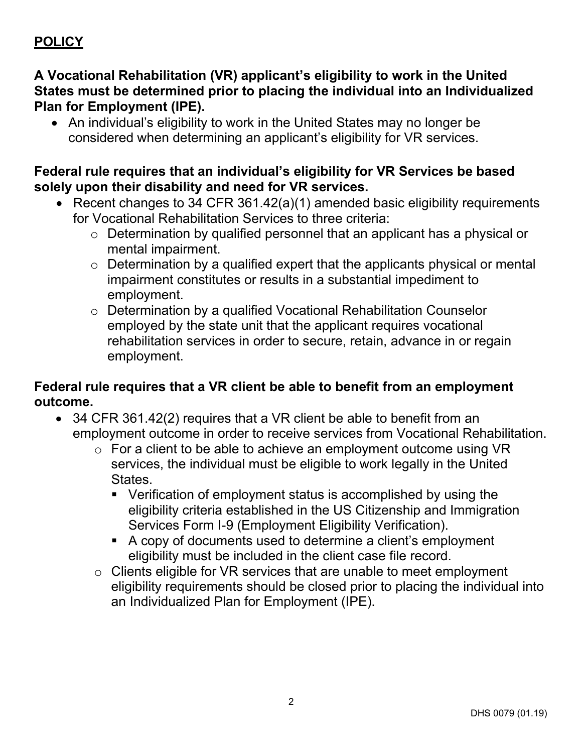# **POLICY**

### **A Vocational Rehabilitation (VR) applicant's eligibility to work in the United States must be determined prior to placing the individual into an Individualized Plan for Employment (IPE).**

• An individual's eligibility to work in the United States may no longer be considered when determining an applicant's eligibility for VR services.

#### **Federal rule requires that an individual's eligibility for VR Services be based solely upon their disability and need for VR services.**

- Recent changes to 34 CFR 361.42(a)(1) amended basic eligibility requirements for Vocational Rehabilitation Services to three criteria:
	- o Determination by qualified personnel that an applicant has a physical or mental impairment.
	- $\circ$  Determination by a qualified expert that the applicants physical or mental impairment constitutes or results in a substantial impediment to employment.
	- o Determination by a qualified Vocational Rehabilitation Counselor employed by the state unit that the applicant requires vocational rehabilitation services in order to secure, retain, advance in or regain employment.

#### **Federal rule requires that a VR client be able to benefit from an employment outcome.**

- 34 CFR 361.42(2) requires that a VR client be able to benefit from an employment outcome in order to receive services from Vocational Rehabilitation.
	- o For a client to be able to achieve an employment outcome using VR services, the individual must be eligible to work legally in the United States.
		- Verification of employment status is accomplished by using the eligibility criteria established in the US Citizenship and Immigration Services Form I-9 (Employment Eligibility Verification).
		- A copy of documents used to determine a client's employment eligibility must be included in the client case file record.
	- o Clients eligible for VR services that are unable to meet employment eligibility requirements should be closed prior to placing the individual into an Individualized Plan for Employment (IPE).